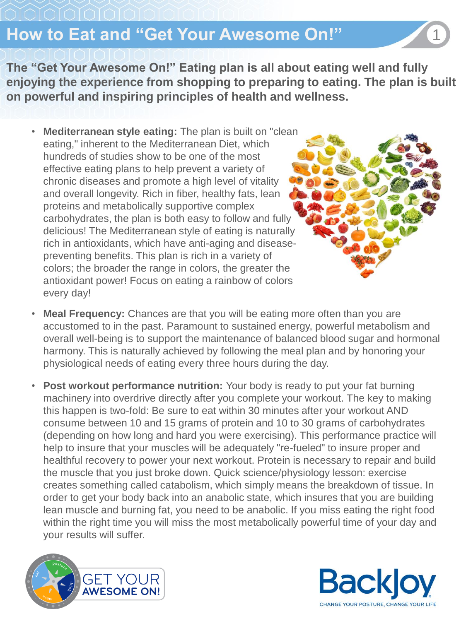**The "Get Your Awesome On!" Eating plan is all about eating well and fully enjoying the experience from shopping to preparing to eating. The plan is built on powerful and inspiring principles of health and wellness.** 

• **Mediterranean style eating:** The plan is built on "clean eating," inherent to the Mediterranean Diet, which hundreds of studies show to be one of the most effective eating plans to help prevent a variety of chronic diseases and promote a high level of vitality and overall longevity. Rich in fiber, healthy fats, lean proteins and metabolically supportive complex carbohydrates, the plan is both easy to follow and fully delicious! The Mediterranean style of eating is naturally rich in antioxidants, which have anti-aging and diseasepreventing benefits. This plan is rich in a variety of colors; the broader the range in colors, the greater the antioxidant power! Focus on eating a rainbow of colors every day!



• **Post workout performance nutrition:** Your body is ready to put your fat burning machinery into overdrive directly after you complete your workout. The key to making this happen is two-fold: Be sure to eat within 30 minutes after your workout AND consume between 10 and 15 grams of protein and 10 to 30 grams of carbohydrates (depending on how long and hard you were exercising). This performance practice will help to insure that your muscles will be adequately "re-fueled" to insure proper and healthful recovery to power your next workout. Protein is necessary to repair and build the muscle that you just broke down. Quick science/physiology lesson: exercise creates something called catabolism, which simply means the breakdown of tissue. In order to get your body back into an anabolic state, which insures that you are building lean muscle and burning fat, you need to be anabolic. If you miss eating the right food within the right time you will miss the most metabolically powerful time of your day and your results will suffer.





1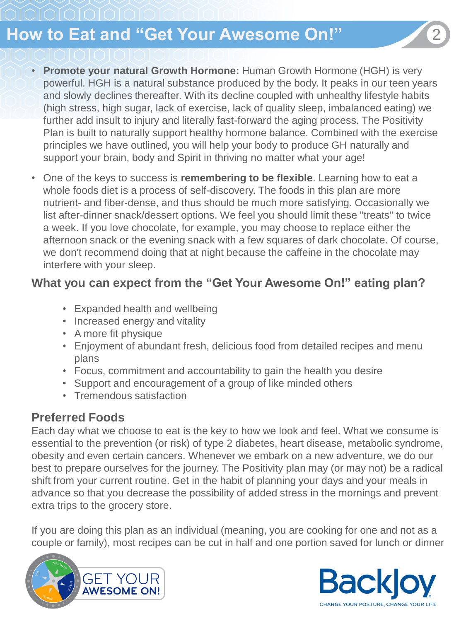- **Promote your natural Growth Hormone:** Human Growth Hormone (HGH) is very powerful. HGH is a natural substance produced by the body. It peaks in our teen years and slowly declines thereafter. With its decline coupled with unhealthy lifestyle habits (high stress, high sugar, lack of exercise, lack of quality sleep, imbalanced eating) we further add insult to injury and literally fast-forward the aging process. The Positivity Plan is built to naturally support healthy hormone balance. Combined with the exercise principles we have outlined, you will help your body to produce GH naturally and support your brain, body and Spirit in thriving no matter what your age!
- One of the keys to success is **remembering to be flexible**. Learning how to eat a whole foods diet is a process of self-discovery. The foods in this plan are more nutrient- and fiber-dense, and thus should be much more satisfying. Occasionally we list after-dinner snack/dessert options. We feel you should limit these "treats" to twice a week. If you love chocolate, for example, you may choose to replace either the afternoon snack or the evening snack with a few squares of dark chocolate. Of course, we don't recommend doing that at night because the caffeine in the chocolate may interfere with your sleep.

# **What you can expect from the "Get Your Awesome On!" eating plan?**

- Expanded health and wellbeing
- Increased energy and vitality
- A more fit physique
- Enjoyment of abundant fresh, delicious food from detailed recipes and menu plans
- Focus, commitment and accountability to gain the health you desire
- Support and encouragement of a group of like minded others
- Tremendous satisfaction

# **Preferred Foods**

Each day what we choose to eat is the key to how we look and feel. What we consume is essential to the prevention (or risk) of type 2 diabetes, heart disease, metabolic syndrome, obesity and even certain cancers. Whenever we embark on a new adventure, we do our best to prepare ourselves for the journey. The Positivity plan may (or may not) be a radical shift from your current routine. Get in the habit of planning your days and your meals in advance so that you decrease the possibility of added stress in the mornings and prevent extra trips to the grocery store.

If you are doing this plan as an individual (meaning, you are cooking for one and not as a couple or family), most recipes can be cut in half and one portion saved for lunch or dinner



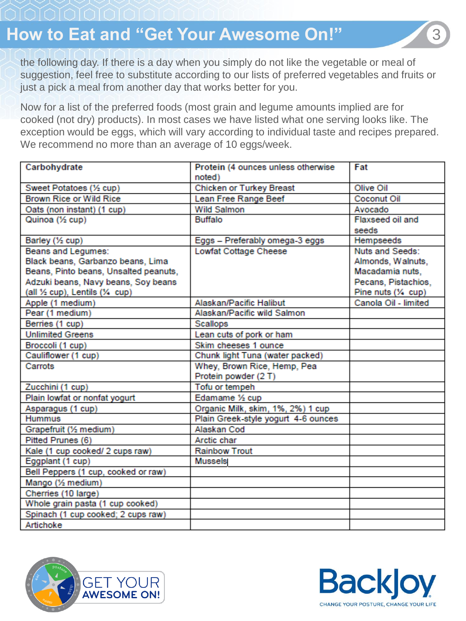the following day. If there is a day when you simply do not like the vegetable or meal of suggestion, feel free to substitute according to our lists of preferred vegetables and fruits or just a pick a meal from another day that works better for you.

Now for a list of the preferred foods (most grain and legume amounts implied are for cooked (not dry) products). In most cases we have listed what one serving looks like. The exception would be eggs, which will vary according to individual taste and recipes prepared. We recommend no more than an average of 10 eggs/week.

| Carbohydrate                          | Protein (4 ounces unless otherwise  | Fat                  |
|---------------------------------------|-------------------------------------|----------------------|
|                                       | noted)                              |                      |
| Sweet Potatoes (1/2 cup)              | Chicken or Turkey Breast            | Olive Oil            |
| <b>Brown Rice or Wild Rice</b>        | Lean Free Range Beef                | Coconut Oil          |
| Oats (non instant) (1 cup)            | <b>Wild Salmon</b>                  | Avocado              |
| Quinoa (1/2 cup)                      | Buffalo                             | Flaxseed oil and     |
|                                       |                                     | seeds                |
| Barley (1/2 cup)                      | Eggs - Preferably omega-3 eggs      | Hempseeds            |
| Beans and Legumes:                    | Lowfat Cottage Cheese               | Nuts and Seeds:      |
| Black beans, Garbanzo beans, Lima     |                                     | Almonds, Walnuts,    |
| Beans, Pinto beans, Unsalted peanuts, |                                     | Macadamia nuts,      |
| Adzuki beans, Navy beans, Soy beans   |                                     | Pecans, Pistachios,  |
| (all 1/2 cup), Lentils (1/4 cup)      |                                     | Pine nuts (% cup)    |
| Apple (1 medium)                      | Alaskan/Pacific Halibut             | Canola Oil - limited |
| Pear (1 medium)                       | Alaskan/Pacific wild Salmon         |                      |
| Berries (1 cup)                       | Scallops                            |                      |
| <b>Unlimited Greens</b>               | Lean cuts of pork or ham            |                      |
| Broccoli (1 cup)                      | Skim cheeses 1 ounce                |                      |
| Cauliflower (1 cup)                   | Chunk light Tuna (water packed)     |                      |
| Carrots                               | Whey, Brown Rice, Hemp, Pea         |                      |
|                                       | Protein powder (2 T)                |                      |
| Zucchini (1 cup)                      | Tofu or tempeh                      |                      |
| Plain lowfat or nonfat yogurt         | Edamame 1/2 cup                     |                      |
| Asparagus (1 cup)                     | Organic Milk, skim, 1%, 2%) 1 cup   |                      |
| <b>Hummus</b>                         | Plain Greek-style yogurt 4-6 ounces |                      |
| Grapefruit (1/2 medium)               | Alaskan Cod                         |                      |
| Pitted Prunes (6)                     | Arctic char                         |                      |
| Kale (1 cup cooked/ 2 cups raw)       | <b>Rainbow Trout</b>                |                      |
| Eggplant (1 cup)                      | <b>Mussels</b>                      |                      |
| Bell Peppers (1 cup, cooked or raw)   |                                     |                      |
| Mango (1/2 medium)                    |                                     |                      |
| Cherries (10 large)                   |                                     |                      |
| Whole grain pasta (1 cup cooked)      |                                     |                      |
| Spinach (1 cup cooked; 2 cups raw)    |                                     |                      |
| Artichoke                             |                                     |                      |



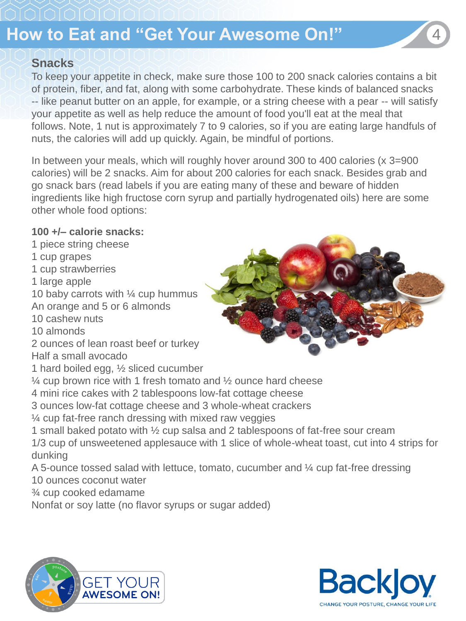### **Snacks**

To keep your appetite in check, make sure those 100 to 200 snack calories contains a bit of protein, fiber, and fat, along with some carbohydrate. These kinds of balanced snacks -- like peanut butter on an apple, for example, or a string cheese with a pear -- will satisfy your appetite as well as help reduce the amount of food you'll eat at the meal that follows. Note, 1 nut is approximately 7 to 9 calories, so if you are eating large handfuls of nuts, the calories will add up quickly. Again, be mindful of portions.

In between your meals, which will roughly hover around 300 to 400 calories (x 3=900 calories) will be 2 snacks. Aim for about 200 calories for each snack. Besides grab and go snack bars (read labels if you are eating many of these and beware of hidden ingredients like high fructose corn syrup and partially hydrogenated oils) here are some other whole food options:

### **100 +/– calorie snacks:**

- 1 piece string cheese
- 1 cup grapes
- 1 cup strawberries
- 1 large apple
- 10 baby carrots with ¼ cup hummus
- An orange and 5 or 6 almonds
- 10 cashew nuts
- 10 almonds
- 2 ounces of lean roast beef or turkey Half a small avocado
- 1 hard boiled egg, ½ sliced cucumber
- $\frac{1}{4}$  cup brown rice with 1 fresh tomato and  $\frac{1}{2}$  ounce hard cheese
- 4 mini rice cakes with 2 tablespoons low-fat cottage cheese
- 3 ounces low-fat cottage cheese and 3 whole-wheat crackers
- ¼ cup fat-free ranch dressing with mixed raw veggies
- 1 small baked potato with  $\frac{1}{2}$  cup salsa and 2 tablespoons of fat-free sour cream

1/3 cup of unsweetened applesauce with 1 slice of whole-wheat toast, cut into 4 strips for dunking

A 5-ounce tossed salad with lettuce, tomato, cucumber and ¼ cup fat-free dressing 10 ounces coconut water

¾ cup cooked edamame

Nonfat or soy latte (no flavor syrups or sugar added)





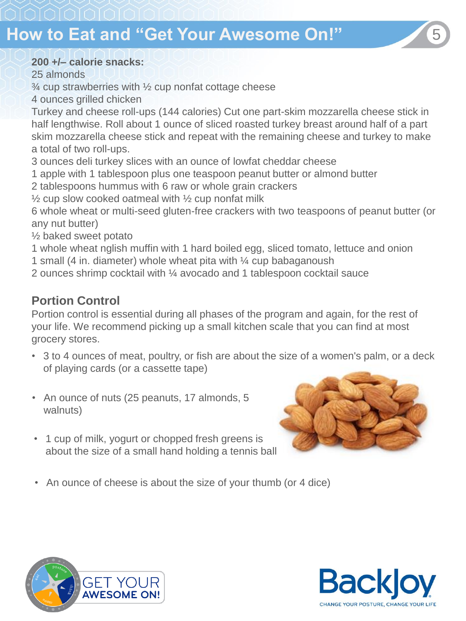# **How to Eat and "Get Your Awesome On!"**

### **200 +/– calorie snacks:**

25 almonds

 $\frac{3}{4}$  cup strawberries with  $\frac{1}{2}$  cup nonfat cottage cheese

4 ounces grilled chicken

Turkey and cheese roll-ups (144 calories) Cut one part-skim mozzarella cheese stick in half lengthwise. Roll about 1 ounce of sliced roasted turkey breast around half of a part skim mozzarella cheese stick and repeat with the remaining cheese and turkey to make a total of two roll-ups.

3 ounces deli turkey slices with an ounce of lowfat cheddar cheese

1 apple with 1 tablespoon plus one teaspoon peanut butter or almond butter

2 tablespoons hummus with 6 raw or whole grain crackers

 $\frac{1}{2}$  cup slow cooked oatmeal with  $\frac{1}{2}$  cup nonfat milk

6 whole wheat or multi-seed gluten-free crackers with two teaspoons of peanut butter (or any nut butter)

½ baked sweet potato

1 whole wheat nglish muffin with 1 hard boiled egg, sliced tomato, lettuce and onion

1 small (4 in. diameter) whole wheat pita with ¼ cup babaganoush

2 ounces shrimp cocktail with ¼ avocado and 1 tablespoon cocktail sauce

# **Portion Control**

Portion control is essential during all phases of the program and again, for the rest of your life. We recommend picking up a small kitchen scale that you can find at most grocery stores.

- 3 to 4 ounces of meat, poultry, or fish are about the size of a women's palm, or a deck of playing cards (or a cassette tape)
- An ounce of nuts (25 peanuts, 17 almonds, 5 walnuts)
- 1 cup of milk, yogurt or chopped fresh greens is about the size of a small hand holding a tennis ball



• An ounce of cheese is about the size of your thumb (or 4 dice)



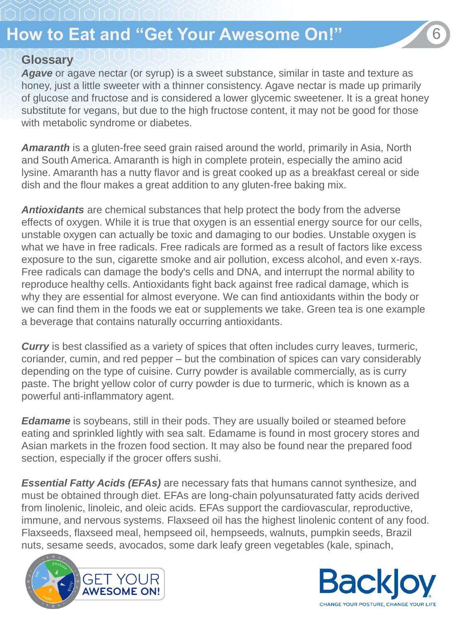### **Glossary**

Agave or agave nectar (or syrup) is a sweet substance, similar in taste and texture as honey, just a little sweeter with a thinner consistency. Agave nectar is made up primarily of glucose and fructose and is considered a lower glycemic sweetener. It is a great honey substitute for vegans, but due to the high fructose content, it may not be good for those with metabolic syndrome or diabetes.

*Amaranth* is a gluten-free seed grain raised around the world, primarily in Asia, North and South America. Amaranth is high in complete protein, especially the amino acid lysine. Amaranth has a nutty flavor and is great cooked up as a breakfast cereal or side dish and the flour makes a great addition to any gluten-free baking mix.

*Antioxidants* are chemical substances that help protect the body from the adverse effects of oxygen. While it is true that oxygen is an essential energy source for our cells, unstable oxygen can actually be toxic and damaging to our bodies. Unstable oxygen is what we have in free radicals. Free radicals are formed as a result of factors like excess exposure to the sun, cigarette smoke and air pollution, excess alcohol, and even x-rays. Free radicals can damage the body's cells and DNA, and interrupt the normal ability to reproduce healthy cells. Antioxidants fight back against free radical damage, which is why they are essential for almost everyone. We can find antioxidants within the body or we can find them in the foods we eat or supplements we take. Green tea is one example a beverage that contains naturally occurring antioxidants.

**Curry** is best classified as a variety of spices that often includes curry leaves, turmeric, coriander, cumin, and red pepper – but the combination of spices can vary considerably depending on the type of cuisine. Curry powder is available commercially, as is curry paste. The bright yellow color of curry powder is due to turmeric, which is known as a powerful anti-inflammatory agent.

*Edamame* is soybeans, still in their pods. They are usually boiled or steamed before eating and sprinkled lightly with sea salt. Edamame is found in most grocery stores and Asian markets in the frozen food section. It may also be found near the prepared food section, especially if the grocer offers sushi.

*Essential Fatty Acids (EFAs)* are necessary fats that humans cannot synthesize, and must be obtained through diet. EFAs are long-chain polyunsaturated fatty acids derived from linolenic, linoleic, and oleic acids. EFAs support the cardiovascular, reproductive, immune, and nervous systems. Flaxseed oil has the highest linolenic content of any food. Flaxseeds, flaxseed meal, hempseed oil, hempseeds, walnuts, pumpkin seeds, Brazil nuts, sesame seeds, avocados, some dark leafy green vegetables (kale, spinach,



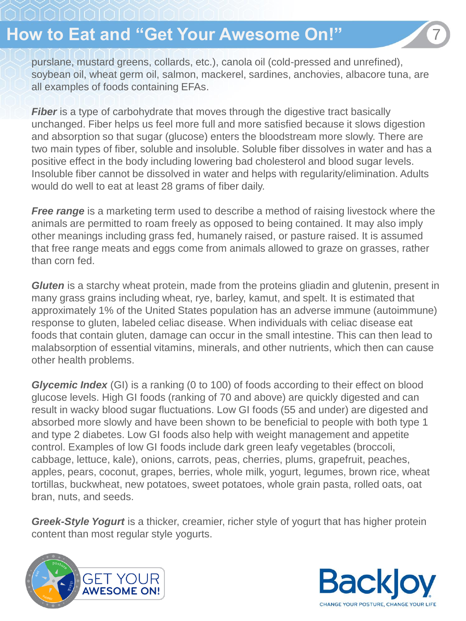purslane, mustard greens, collards, etc.), canola oil (cold-pressed and unrefined), soybean oil, wheat germ oil, salmon, mackerel, sardines, anchovies, albacore tuna, are all examples of foods containing EFAs.

**Fiber** is a type of carbohydrate that moves through the digestive tract basically unchanged. Fiber helps us feel more full and more satisfied because it slows digestion and absorption so that sugar (glucose) enters the bloodstream more slowly. There are two main types of fiber, soluble and insoluble. Soluble fiber dissolves in water and has a positive effect in the body including lowering bad cholesterol and blood sugar levels. Insoluble fiber cannot be dissolved in water and helps with regularity/elimination. Adults would do well to eat at least 28 grams of fiber daily.

*Free range* is a marketing term used to describe a method of raising livestock where the animals are permitted to roam freely as opposed to being contained. It may also imply other meanings including grass fed, humanely raised, or pasture raised. It is assumed that free range meats and eggs come from animals allowed to graze on grasses, rather than corn fed.

*Gluten* is a starchy wheat protein, made from the proteins gliadin and glutenin, present in many grass grains including wheat, rye, barley, kamut, and spelt. It is estimated that approximately 1% of the United States population has an adverse immune (autoimmune) response to gluten, labeled celiac disease. When individuals with celiac disease eat foods that contain gluten, damage can occur in the small intestine. This can then lead to malabsorption of essential vitamins, minerals, and other nutrients, which then can cause other health problems.

*Glycemic Index* (GI) is a ranking (0 to 100) of foods according to their effect on blood glucose levels. High GI foods (ranking of 70 and above) are quickly digested and can result in wacky blood sugar fluctuations. Low GI foods (55 and under) are digested and absorbed more slowly and have been shown to be beneficial to people with both type 1 and type 2 diabetes. Low GI foods also help with weight management and appetite control. Examples of low GI foods include dark green leafy vegetables (broccoli, cabbage, lettuce, kale), onions, carrots, peas, cherries, plums, grapefruit, peaches, apples, pears, coconut, grapes, berries, whole milk, yogurt, legumes, brown rice, wheat tortillas, buckwheat, new potatoes, sweet potatoes, whole grain pasta, rolled oats, oat bran, nuts, and seeds.

**Greek-Style Yogurt** is a thicker, creamier, richer style of yogurt that has higher protein content than most regular style yogurts.



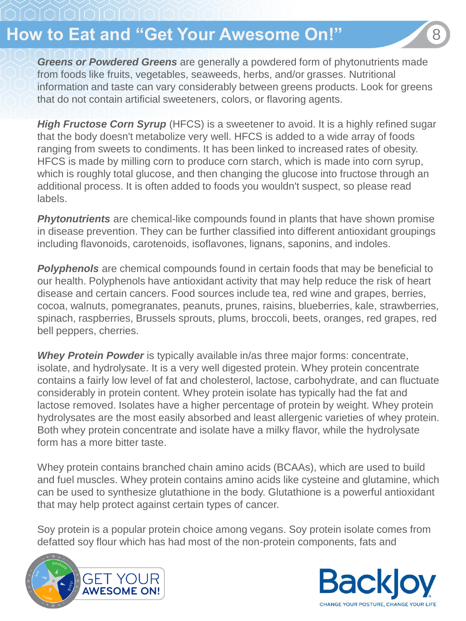*Greens or Powdered Greens* are generally a powdered form of phytonutrients made from foods like fruits, vegetables, seaweeds, herbs, and/or grasses. Nutritional information and taste can vary considerably between greens products. Look for greens that do not contain artificial sweeteners, colors, or flavoring agents.

*High Fructose Corn Syrup* (HFCS) is a sweetener to avoid. It is a highly refined sugar that the body doesn't metabolize very well. HFCS is added to a wide array of foods ranging from sweets to condiments. It has been linked to increased rates of obesity. HFCS is made by milling corn to produce corn starch, which is made into corn syrup, which is roughly total glucose, and then changing the glucose into fructose through an additional process. It is often added to foods you wouldn't suspect, so please read labels.

*Phytonutrients* are chemical-like compounds found in plants that have shown promise in disease prevention. They can be further classified into different antioxidant groupings including flavonoids, carotenoids, isoflavones, lignans, saponins, and indoles.

**Polyphenols** are chemical compounds found in certain foods that may be beneficial to our health. Polyphenols have antioxidant activity that may help reduce the risk of heart disease and certain cancers. Food sources include tea, red wine and grapes, berries, cocoa, walnuts, pomegranates, peanuts, prunes, raisins, blueberries, kale, strawberries, spinach, raspberries, Brussels sprouts, plums, broccoli, beets, oranges, red grapes, red bell peppers, cherries.

*Whey Protein Powder* is typically available in/as three major forms: concentrate, isolate, and hydrolysate. It is a very well digested protein. Whey protein concentrate contains a fairly low level of fat and cholesterol, lactose, carbohydrate, and can fluctuate considerably in protein content. Whey protein isolate has typically had the fat and lactose removed. Isolates have a higher percentage of protein by weight. Whey protein hydrolysates are the most easily absorbed and least allergenic varieties of whey protein. Both whey protein concentrate and isolate have a milky flavor, while the hydrolysate form has a more bitter taste.

Whey protein contains branched chain amino acids (BCAAs), which are used to build and fuel muscles. Whey protein contains amino acids like cysteine and glutamine, which can be used to synthesize glutathione in the body. Glutathione is a powerful antioxidant that may help protect against certain types of cancer.

Soy protein is a popular protein choice among vegans. Soy protein isolate comes from defatted soy flour which has had most of the non-protein components, fats and